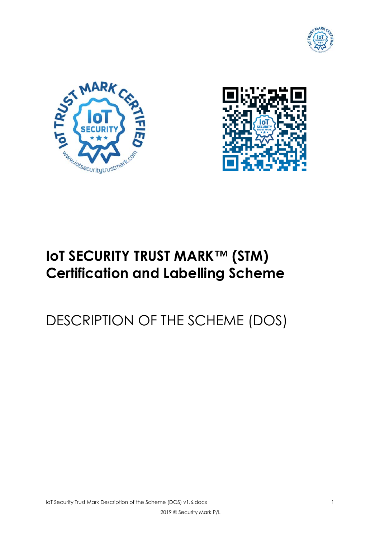





# **IoT SECURITY TRUST MARK™ (STM) Certification and Labelling Scheme**

# DESCRIPTION OF THE SCHEME (DOS)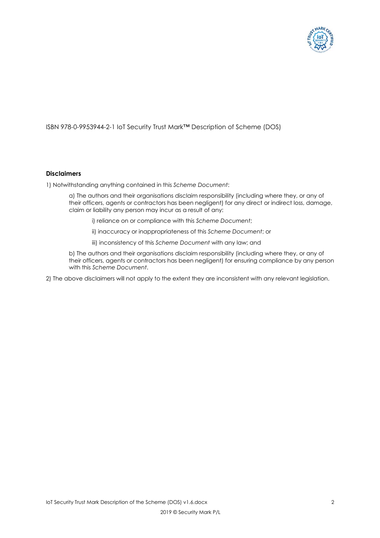

#### ISBN 978-0-9953944-2-1 IoT Security Trust Mark™ Description of Scheme (DOS)

#### **Disclaimers**

1) Notwithstanding anything contained in this *Scheme Document*:

a) The authors and their organisations disclaim responsibility (including where they, or any of their officers, agents or contractors has been negligent) for any direct or indirect loss, damage, claim or liability any person may incur as a result of any:

- i) reliance on or compliance with this *Scheme Document*;
- ii) inaccuracy or inappropriateness of this *Scheme Document*; or
- iii) inconsistency of this *Scheme Document* with any law; and

b) The authors and their organisations disclaim responsibility (including where they, or any of their officers, agents or contractors has been negligent) for ensuring compliance by any person with this *Scheme Document*.

2) The above disclaimers will not apply to the extent they are inconsistent with any relevant legislation.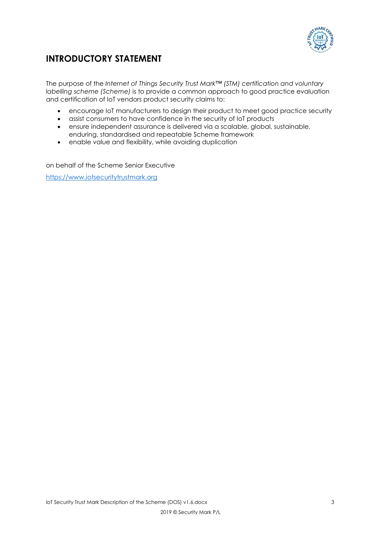

# **INTRODUCTORY STATEMENT**

The purpose of the *Internet of Things Security Trust Mark™ (STM) certification and voluntary labelling scheme (Scheme)* is to provide a common approach to good practice evaluation and certification of IoT vendors product security claims to:

- encourage IoT manufacturers to design their product to meet good practice security
- assist consumers to have confidence in the security of IoT products
- ensure independent assurance is delivered via a scalable, global, sustainable, enduring, standardised and repeatable Scheme framework
- enable value and flexibility, while avoiding duplication

on behalf of the Scheme Senior Executive

https://www.iotsecuritytrustmark.org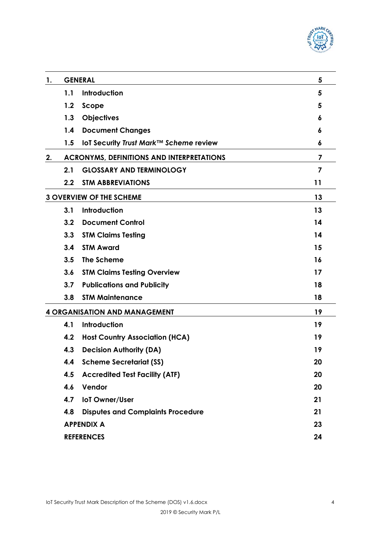

| 1. | <b>GENERAL</b><br>5                              |                                          |                |
|----|--------------------------------------------------|------------------------------------------|----------------|
|    | 1.1                                              | Introduction                             | 5              |
|    | 1.2                                              | Scope                                    | 5              |
|    | 1.3                                              | <b>Objectives</b>                        | 6              |
|    | 1.4                                              | <b>Document Changes</b>                  | 6              |
|    | 1.5                                              | IoT Security Trust Mark™ Scheme review   | 6              |
| 2. | <b>ACRONYMS, DEFINITIONS AND INTERPRETATIONS</b> |                                          |                |
|    | 2.1                                              | <b>GLOSSARY AND TERMINOLOGY</b>          | $\overline{7}$ |
|    | $2.2\,$                                          | <b>STM ABBREVIATIONS</b>                 | 11             |
|    | <b>3 OVERVIEW OF THE SCHEME</b>                  |                                          | 13             |
|    | 3.1                                              | <b>Introduction</b>                      | 13             |
|    | 3.2                                              | <b>Document Control</b>                  | 14             |
|    | 3.3                                              | <b>STM Claims Testing</b>                | 14             |
|    | 3.4                                              | <b>STM Award</b>                         | 15             |
|    | 3.5                                              | The Scheme                               | 16             |
|    | 3.6                                              | <b>STM Claims Testing Overview</b>       | 17             |
|    | 3.7                                              | <b>Publications and Publicity</b>        | 18             |
|    | 3.8                                              | <b>STM Maintenance</b>                   | 18             |
|    | <b>4 ORGANISATION AND MANAGEMENT</b>             |                                          | 19             |
|    | 4.1                                              | Introduction                             | 19             |
|    | 4.2                                              | <b>Host Country Association (HCA)</b>    | 19             |
|    | 4.3                                              | <b>Decision Authority (DA)</b>           | 19             |
|    | 4.4                                              | <b>Scheme Secretariat (SS)</b>           | 20             |
|    | 4.5                                              | <b>Accredited Test Facility (ATF)</b>    | 20             |
|    | 4.6                                              | Vendor                                   | 20             |
|    | 4.7                                              | loT Owner/User                           | 21             |
|    | 4.8                                              | <b>Disputes and Complaints Procedure</b> | 21             |
|    |                                                  | <b>APPENDIX A</b>                        | 23             |
|    |                                                  | <b>REFERENCES</b>                        | 24             |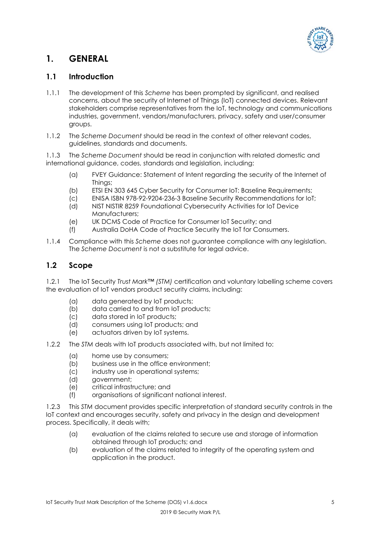

# **1. GENERAL**

# **1.1 Introduction**

- 1.1.1 The development of this *Scheme* has been prompted by significant, and realised concerns, about the security of Internet of Things (IoT) connected devices. Relevant stakeholders comprise representatives from the IoT, technology and communications industries, government, vendors/manufacturers, privacy, safety and user/consumer groups.
- 1.1.2 The *Scheme Document* should be read in the context of other relevant codes, guidelines, standards and documents.

1.1.3 The *Scheme Document* should be read in conjunction with related domestic and international guidance, codes, standards and legislation, including:

- (a) FVEY Guidance: Statement of Intent regarding the security of the Internet of Things;
- (b) ETSI EN 303 645 Cyber Security for Consumer IoT: Baseline Requirements;
- (c) ENISA ISBN 978-92-9204-236-3 Baseline Security Recommendations for IoT;
- (d) NIST NISTIR 8259 Foundational Cybersecurity Activities for IoT Device Manufacturers;
- (e) UK DCMS Code of Practice for Consumer IoT Security; and
- (f) Australia DoHA Code of Practice Security the IoT for Consumers.
- 1.1.4 Compliance with this *Scheme* does not guarantee compliance with any legislation. The *Scheme Document* is not a substitute for legal advice.

# **1.2 Scope**

1.2.1 The IoT Security *Trust Mark™ (STM)* certification and voluntary labelling scheme covers the evaluation of IoT vendors product security claims, including:

- (a) data generated by IoT products;
- (b) data carried to and from IoT products;
- (c) data stored in IoT products;
- (d) consumers using IoT products; and
- (e) actuators driven by IoT systems.
- 1.2.2 The *STM* deals with IoT products associated with, but not limited to:
	- (a) home use by consumers;
	- (b) business use in the office environment;
	- (c) industry use in operational systems;
	- (d) government;
	- (e) critical infrastructure; and
	- (f) organisations of significant national interest.

1.2.3 This *STM* document provides specific interpretation of standard security controls in the IoT context and encourages security, safety and privacy in the design and development process. Specifically, it deals with;

- (a) evaluation of the claims related to secure use and storage of information obtained through IoT products; and
- (b) evaluation of the claims related to integrity of the operating system and application in the product.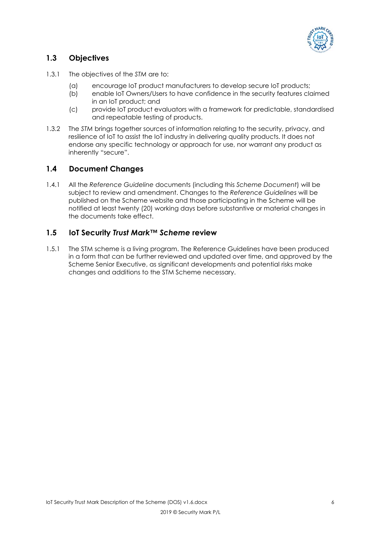

# **1.3 Objectives**

- 1.3.1 The objectives of the *STM* are to:
	- (a) encourage IoT product manufacturers to develop secure IoT products;
	- (b) enable IoT Owners/Users to have confidence in the security features claimed in an IoT product; and
	- (c) provide IoT product evaluators with a framework for predictable, standardised and repeatable testing of products.
- 1.3.2 The *STM* brings together sources of information relating to the security, privacy, and resilience of IoT to assist the IoT industry in delivering quality products. It does not endorse any specific technology or approach for use, nor warrant any product as inherently "secure".

# **1.4 Document Changes**

1.4.1 All the *Reference Guideline* documents (including this *Scheme Document*) will be subject to review and amendment. Changes to the *Reference Guidelines* will be published on the Scheme website and those participating in the Scheme will be notified at least twenty (20) working days before substantive or material changes in the documents take effect.

# **1.5 IoT Security** *Trust Mark™ Scheme* **review**

1.5.1 The STM scheme is a living program. The Reference Guidelines have been produced in a form that can be further reviewed and updated over time, and approved by the Scheme Senior Executive, as significant developments and potential risks make changes and additions to the STM Scheme necessary.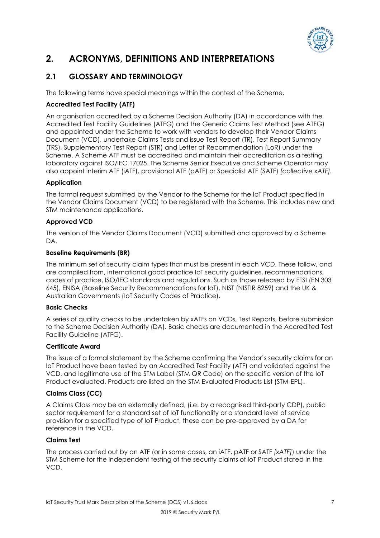

# **2. ACRONYMS, DEFINITIONS AND INTERPRETATIONS**

# **2.1 GLOSSARY AND TERMINOLOGY**

The following terms have special meanings within the context of the Scheme.

# **Accredited Test Facility (ATF)**

An organisation accredited by a Scheme Decision Authority (DA) in accordance with the Accredited Test Facility Guidelines (ATFG) and the Generic Claims Test Method (see ATFG) and appointed under the Scheme to work with vendors to develop their Vendor Claims Document (VCD), undertake Claims Tests and issue Test Report (TR), Test Report Summary (TRS), Supplementary Test Report (STR) and Letter of Recommendation (LoR) under the Scheme. A Scheme ATF must be accredited and maintain their accreditation as a testing laboratory against ISO/IEC 17025. The Scheme Senior Executive and Scheme Operator may also appoint interim ATF (iATF), provisional ATF (pATF) or Specialist ATF (SATF) *[collective xATF].*

#### **Application**

The formal request submitted by the Vendor to the Scheme for the IoT Product specified in the Vendor Claims Document (VCD) to be registered with the Scheme. This includes new and STM maintenance applications.

#### **Approved VCD**

The version of the Vendor Claims Document (VCD) submitted and approved by a Scheme DA.

#### **Baseline Requirements (BR)**

The minimum set of security claim types that must be present in each VCD. These follow, and are compiled from, international good practice IoT security guidelines, recommendations, codes of practice, ISO/IEC standards and regulations. Such as those released by ETSI (EN 303 645), ENISA (Baseline Security Recommendations for IoT), NIST (NISTIR 8259) and the UK & Australian Governments (IoT Security Codes of Practice).

#### **Basic Checks**

A series of quality checks to be undertaken by xATFs on VCDs, Test Reports, before submission to the Scheme Decision Authority (DA). Basic checks are documented in the Accredited Test Facility Guideline (ATFG).

#### **Certificate Award**

The issue of a formal statement by the Scheme confirming the Vendor's security claims for an IoT Product have been tested by an Accredited Test Facility (ATF) and validated against the VCD, and legitimate use of the STM Label (STM QR Code) on the specific version of the IoT Product evaluated. Products are listed on the STM Evaluated Products List (STM-EPL).

# **Claims Class (CC)**

A Claims Class may be an externally defined, (i.e. by a recognised third-party CDP), public sector requirement for a standard set of IoT functionality or a standard level of service provision for a specified type of IoT Product, these can be pre-approved by a DA for reference in the VCD.

#### **Claims Test**

The process carried out by an ATF (or in some cases, an iATF, pATF or SATF *[xATF]*) under the STM Scheme for the independent testing of the security claims of IoT Product stated in the VCD.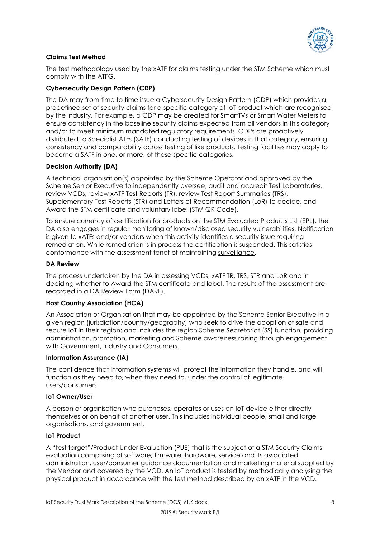

#### **Claims Test Method**

The test methodology used by the xATF for claims testing under the STM Scheme which must comply with the ATFG.

#### **Cybersecurity Design Pattern (CDP)**

The DA may from time to time issue a Cybersecurity Design Pattern (CDP) which provides a predefined set of security claims for a specific category of IoT product which are recognised by the industry. For example, a CDP may be created for SmartTVs or Smart Water Meters to ensure consistency in the baseline security claims expected from all vendors in this category and/or to meet minimum mandated regulatory requirements. CDPs are proactively distributed to Specialist ATFs (SATF) conducting testing of devices in that category, ensuring consistency and comparability across testing of like products. Testing facilities may apply to become a SATF in one, or more, of these specific categories.

#### **Decision Authority (DA)**

A technical organisation(s) appointed by the Scheme Operator and approved by the Scheme Senior Executive to independently oversee, audit and accredit Test Laboratories, review VCDs, review xATF Test Reports (TR), review Test Report Summaries (TRS), Supplementary Test Reports (STR) and Letters of Recommendation (LoR) to decide, and Award the STM certificate and voluntary label (STM QR Code).

To ensure currency of certification for products on the STM Evaluated Products List (EPL), the DA also engages in regular monitoring of known/disclosed security vulnerabilities. Notification is given to xATFs and/or vendors when this activity identifies a security issue requiring remediation. While remediation is in process the certification is suspended. This satisfies conformance with the assessment tenet of maintaining surveillance.

#### **DA Review**

The process undertaken by the DA in assessing VCDs, xATF TR, TRS, STR and LoR and in deciding whether to Award the STM certificate and label. The results of the assessment are recorded in a DA Review Form (DARF).

#### **Host Country Association (HCA)**

An Association or Organisation that may be appointed by the Scheme Senior Executive in a given region (jurisdiction/country/geography) who seek to drive the adoption of safe and secure IoT in their region; and includes the region Scheme Secretariat (SS) function, providing administration, promotion, marketing and Scheme awareness raising through engagement with Government, Industry and Consumers.

#### **Information Assurance (IA)**

The confidence that information systems will protect the information they handle, and will function as they need to, when they need to, under the control of legitimate users/consumers.

#### **IoT Owner/User**

A person or organisation who purchases, operates or uses an IoT device either directly themselves or on behalf of another user. This includes individual people, small and large organisations, and government.

#### **IoT Product**

A "test target"/Product Under Evaluation (PUE) that is the subject of a STM Security Claims evaluation comprising of software, firmware, hardware, service and its associated administration, user/consumer guidance documentation and marketing material supplied by the Vendor and covered by the VCD. An IoT product is tested by methodically analysing the physical product in accordance with the test method described by an xATF in the VCD.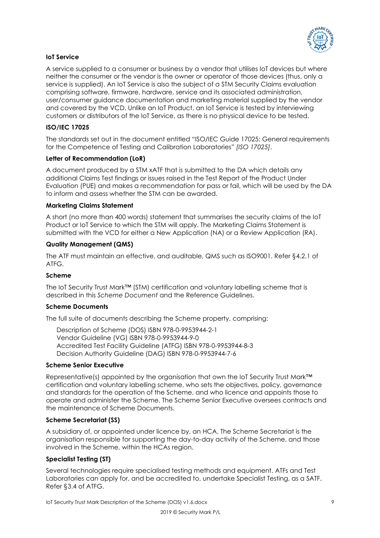

#### **IoT Service**

A service supplied to a consumer or business by a vendor that utilises IoT devices but where neither the consumer or the vendor is the owner or operator of those devices (thus, only a service is supplied). An IoT Service is also the subject of a STM Security Claims evaluation comprising software, firmware, hardware, service and its associated administration, user/consumer guidance documentation and marketing material supplied by the vendor and covered by the VCD. Unlike an IoT Product, an IoT Service is tested by interviewing customers or distributors of the IoT Service, as there is no physical device to be tested.

#### **ISO/IEC 17025**

The standards set out in the document entitled "ISO/IEC Guide 17025: General requirements for the Competence of Testing and Calibration Laboratories" *[ISO 17025]*.

#### **Letter of Recommendation (LoR)**

A document produced by a STM xATF that is submitted to the DA which details any additional Claims Test findings or issues raised in the Test Report of the Product Under Evaluation (PUE) and makes a recommendation for pass or fail, which will be used by the DA to inform and assess whether the STM can be awarded.

#### **Marketing Claims Statement**

A short (no more than 400 words) statement that summarises the security claims of the IoT Product or IoT Service to which the STM will apply. The Marketing Claims Statement is submitted with the VCD for either a New Application (NA) or a Review Application (RA).

#### **Quality Management (QMS)**

The ATF must maintain an effective, and auditable, QMS such as ISO9001. Refer §4.2.1 of ATFG.

#### **Scheme**

The IoT Security Trust Mark™ (STM) certification and voluntary labelling scheme that is described in this *Scheme Document* and the Reference Guidelines.

#### **Scheme Documents**

The full suite of documents describing the Scheme property, comprising:

 Description of Scheme (DOS) ISBN 978-0-9953944-2-1 Vendor Guideline (VG) ISBN 978-0-9953944-9-0 Accredited Test Facility Guideline (ATFG) ISBN 978-0-9953944-8-3 Decision Authority Guideline (DAG) ISBN 978-0-9953944-7-6

#### **Scheme Senior Executive**

Representative(s) appointed by the organisation that own the IoT Security Trust Mark™ certification and voluntary labelling scheme, who sets the objectives, policy, governance and standards for the operation of the Scheme, and who licence and appoints those to operate and administer the Scheme. The Scheme Senior Executive oversees contracts and the maintenance of Scheme Documents.

#### **Scheme Secretariat (SS)**

A subsidiary of, or appointed under licence by, an HCA. The Scheme Secretariat is the organisation responsible for supporting the day-to-day activity of the Scheme, and those involved in the Scheme, within the HCAs region.

#### **Specialist Testing (ST)**

Several technologies require specialised testing methods and equipment. ATFs and Test Laboratories can apply for, and be accredited to, undertake Specialist Testing, as a SATF. Refer §3.4 of ATFG.

IoT Security Trust Mark Description of the Scheme (DOS) v1.6.docx 9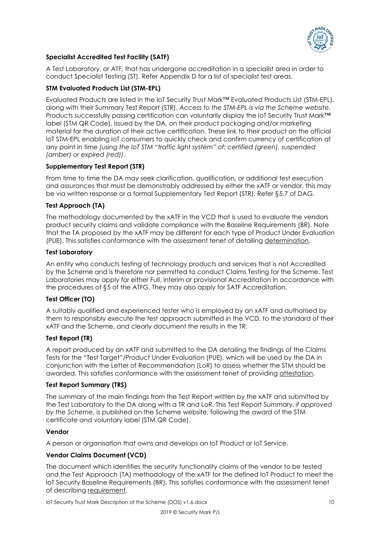

#### **Specialist Accredited Test Facility (SATF)**

A Test Laboratory, or ATF, that has undergone accreditation in a specialist area in order to conduct Specialist Testing (ST). Refer Appendix D for a list of specialist test areas.

#### **STM Evaluated Products List (STM-EPL)**

Evaluated Products are listed in the IoT Security Trust Mark™ Evaluated Products List (STM-EPL), along with their Summary Test Report (STR). *Access to the STM-EPL is via the Scheme website.* Products successfully passing certification can voluntarily display the IoT Security Trust Mark™ label (STM QR Code), issued by the DA, on their product packaging and/or marketing material for the duration of their active certification. These link to their product on the official IoT STM-EPL enabling IoT consumers to quickly check and confirm currency of certification at any point in time *(using the IoT STM "traffic light system" of; certified (green), suspended (amber) or expired (red))*.

#### **Supplementary Test Report (STR)**

From time to time the DA may seek clarification, qualification, or additional test execution and assurances that must be demonstrably addressed by either the xATF or vendor, this may be via written response or a formal Supplementary Test Report (STR). Refer §5.7 of DAG.

#### **Test Approach (TA)**

The methodology documented by the xATF in the VCD that is used to evaluate the vendors product security claims and validate compliance with the Baseline Requirements (BR). Note that the TA proposed by the xATF may be different for each type of Product Under Evaluation (PUE). This satisfies conformance with the assessment tenet of detailing determination.

#### **Test Laboratory**

An entity who conducts testing of technology products and services that is not Accredited by the Scheme and is therefore nor permitted to conduct Claims Testing for the Scheme. Test Laboratories may apply for either Full, interim or provisional Accreditation in accordance with the procedures of §5 of the ATFG. They may also apply for SATF Accreditation.

#### **Test Officer (TO)**

A suitably qualified and experienced tester who is employed by an xATF and authorised by them to responsibly execute the test approach submitted in the VCD, to the standard of their xATF and the Scheme, and clearly document the results in the TR.

#### **Test Report (TR)**

A report produced by an xATF and submitted to the DA detailing the findings of the Claims Tests for the "Test Target"/Product Under Evaluation (PUE), which will be used by the DA in conjunction with the Letter of Recommendation (LoR) to assess whether the STM should be awarded. This satisfies conformance with the assessment tenet of providing attestation.

#### **Test Report Summary (TRS)**

The summary of the main findings from the Test Report written by the xATF and submitted by the Test Laboratory to the DA along with a TR and LoR. This Test Report Summary, *if approved by the Scheme*, is published on the Scheme website, following the award of the STM certificate and voluntary label (STM QR Code).

#### **Vendor**

A person or organisation that owns and develops an IoT Product or IoT Service.

#### **Vendor Claims Document (VCD)**

The document which identifies the security functionality claims of the vendor to be tested and the Test Approach (TA) methodology of the xATF for the defined IoT Product to meet the IoT Security Baseline Requirements (BR). This satisfies conformance with the assessment tenet of describing requirement.

IoT Security Trust Mark Description of the Scheme (DOS) v1.6.docx 10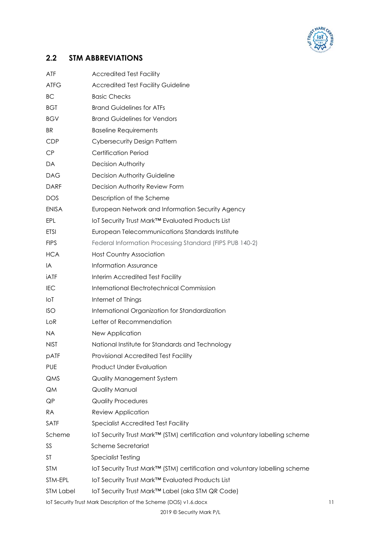

# **2.2 STM ABBREVIATIONS**

| ATF              | <b>Accredited Test Facility</b>                                             |    |
|------------------|-----------------------------------------------------------------------------|----|
| <b>ATFG</b>      | <b>Accredited Test Facility Guideline</b>                                   |    |
| BС               | <b>Basic Checks</b>                                                         |    |
| <b>BGT</b>       | <b>Brand Guidelines for ATFs</b>                                            |    |
| <b>BGV</b>       | <b>Brand Guidelines for Vendors</b>                                         |    |
| BR               | <b>Baseline Requirements</b>                                                |    |
| <b>CDP</b>       | <b>Cybersecurity Design Pattern</b>                                         |    |
| CP               | <b>Certification Period</b>                                                 |    |
| DA               | Decision Authority                                                          |    |
| <b>DAG</b>       | Decision Authority Guideline                                                |    |
| <b>DARF</b>      | Decision Authority Review Form                                              |    |
| <b>DOS</b>       | Description of the Scheme                                                   |    |
| <b>ENISA</b>     | European Network and Information Security Agency                            |    |
| EPL              | IoT Security Trust Mark™ Evaluated Products List                            |    |
| <b>ETSI</b>      | European Telecommunications Standards Institute                             |    |
| <b>FIPS</b>      | Federal Information Processing Standard (FIPS PUB 140-2)                    |    |
| <b>HCA</b>       | <b>Host Country Association</b>                                             |    |
| IA               | <b>Information Assurance</b>                                                |    |
| iATF             | Interim Accredited Test Facility                                            |    |
| IEC              | <b>International Electrotechnical Commission</b>                            |    |
| loT              | Internet of Things                                                          |    |
| ISO              | International Organization for Standardization                              |    |
| LoR              | Letter of Recommendation                                                    |    |
| NA.              | New Application                                                             |    |
| <b>NIST</b>      | National Institute for Standards and Technology                             |    |
| pATF             | Provisional Accredited Test Facility                                        |    |
| <b>PUE</b>       | Product Under Evaluation                                                    |    |
| QMS              | Quality Management System                                                   |    |
| QM               | Quality Manual                                                              |    |
| QP               | <b>Quality Procedures</b>                                                   |    |
| RA               | Review Application                                                          |    |
| SATF             | <b>Specialist Accredited Test Facility</b>                                  |    |
| Scheme           | loT Security Trust Mark™ (STM) certification and voluntary labelling scheme |    |
| SS               | Scheme Secretariat                                                          |    |
| ST               | <b>Specialist Testing</b>                                                   |    |
| <b>STM</b>       | loT Security Trust Mark™ (STM) certification and voluntary labelling scheme |    |
| STM-EPL          | loT Security Trust Mark™ Evaluated Products List                            |    |
| <b>STM Label</b> | loT Security Trust Mark™ Label (aka STM QR Code)                            |    |
|                  | IoT Security Trust Mark Description of the Scheme (DOS) v1.6.docx           | 11 |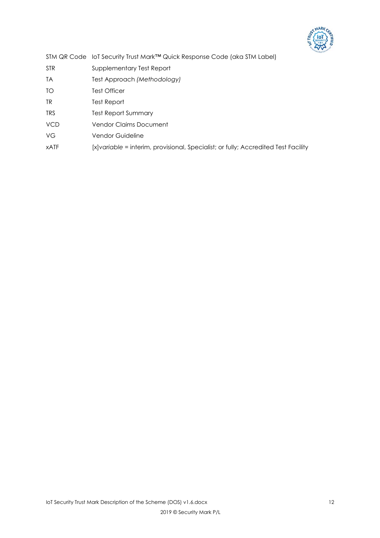

|             | STM QR Code loT Security Trust Mark <sup>™</sup> Quick Response Code (aka STM Label) |
|-------------|--------------------------------------------------------------------------------------|
| <b>STR</b>  | Supplementary Test Report                                                            |
| <b>TA</b>   | Test Approach (Methodology)                                                          |
| TO          | <b>Test Officer</b>                                                                  |
| TR.         | Test Report                                                                          |
| <b>TRS</b>  | <b>Test Report Summary</b>                                                           |
| <b>VCD</b>  | <b>Vendor Claims Document</b>                                                        |
| VG          | Vendor Guideline                                                                     |
| <b>xATF</b> | [x]variable = interim, provisional, Specialist; or fully; Accredited Test Facility   |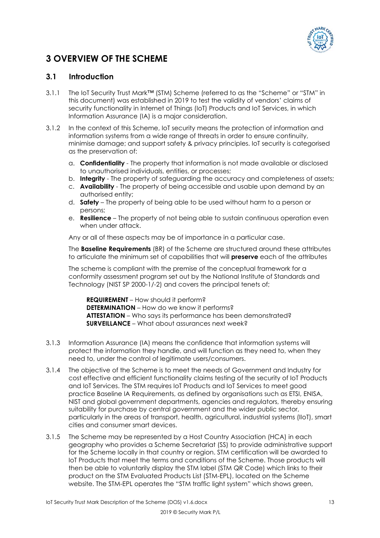

# **3 OVERVIEW OF THE SCHEME**

# **3.1 Introduction**

- 3.1.1 The IoT Security Trust Mark™ (STM) Scheme (referred to as the "Scheme" or "STM" in this document) was established in 2019 to test the validity of vendors' claims of security functionality in Internet of Things (IoT) Products and IoT Services, in which Information Assurance (IA) is a major consideration.
- 3.1.2 In the context of this Scheme, IoT security means the protection of information and information systems from a wide range of threats in order to ensure continuity, minimise damage; and support safety & privacy principles. IoT security is categorised as the preservation of:
	- a. **Confidentiality** The property that information is not made available or disclosed to unauthorised individuals, entities, or processes;
	- b. **Integrity** The property of safeguarding the accuracy and completeness of assets;
	- c. **Availability** The property of being accessible and usable upon demand by an authorised entity;
	- d. **Safety** The property of being able to be used without harm to a person or persons;
	- e. **Resilience** The property of not being able to sustain continuous operation even when under attack.

Any or all of these aspects may be of importance in a particular case.

The **Baseline Requirements** (BR) of the Scheme are structured around these attributes to articulate the minimum set of capabilities that will **preserve** each of the attributes

The scheme is compliant with the premise of the conceptual framework for a conformity assessment program set out by the National Institute of Standards and Technology (NIST SP 2000-1/-2) and covers the principal tenets of;

 **REQUIREMENT** – How should it perform?  **DETERMINATION** – How do we know it performs?  **ATTESTATION** – Who says its performance has been demonstrated?  **SURVEILLANCE** – What about assurances next week?

- 3.1.3 Information Assurance (IA) means the confidence that information systems will protect the information they handle, and will function as they need to, when they need to, under the control of legitimate users/consumers.
- 3.1.4 The objective of the Scheme is to meet the needs of Government and Industry for cost effective and efficient functionality claims testing of the security of IoT Products and IoT Services. The STM requires IoT Products and IoT Services to meet good practice Baseline IA Requirements, as defined by organisations such as ETSI, ENISA, NIST and global government departments, agencies and regulators, thereby ensuring suitability for purchase by central government and the wider public sector, particularly in the areas of transport, health, agricultural, industrial systems (IIoT), smart cities and consumer smart devices.
- 3.1.5 The Scheme may be represented by a Host Country Association (HCA) in each geography who provides a Scheme Secretariat (SS) to provide administrative support for the Scheme locally in that country or region. STM certification will be awarded to IoT Products that meet the terms and conditions of the Scheme. Those products will then be able to voluntarily display the STM label (STM QR Code) which links to their product on the STM Evaluated Products List (STM-EPL), located on the Scheme website. The STM-EPL operates the "STM traffic light system" which shows green,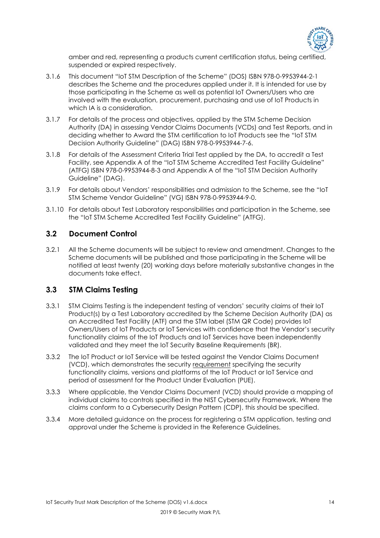

amber and red, representing a products current certification status, being certified, suspended or expired respectively.

- 3.1.6 This document "IoT STM Description of the Scheme" (DOS) ISBN 978-0-9953944-2-1 describes the Scheme and the procedures applied under it. It is intended for use by those participating in the Scheme as well as potential IoT Owners/Users who are involved with the evaluation, procurement, purchasing and use of IoT Products in which IA is a consideration.
- 3.1.7 For details of the process and objectives, applied by the STM Scheme Decision Authority (DA) in assessing Vendor Claims Documents (VCDs) and Test Reports, and in deciding whether to Award the STM certification to IoT Products see the "IoT STM Decision Authority Guideline" (DAG) ISBN 978-0-9953944-7-6.
- 3.1.8 For details of the Assessment Criteria Trial Test applied by the DA, to accredit a Test Facility, see Appendix A of the "IoT STM Scheme Accredited Test Facility Guideline" (ATFG) ISBN 978-0-9953944-8-3 and Appendix A of the "IoT STM Decision Authority Guideline" (DAG).
- 3.1.9 For details about Vendors' responsibilities and admission to the Scheme, see the "IoT STM Scheme Vendor Guideline" (VG) ISBN 978-0-9953944-9-0.
- 3.1.10 For details about Test Laboratory responsibilities and participation in the Scheme, see the "IoT STM Scheme Accredited Test Facility Guideline" (ATFG).

# **3.2 Document Control**

3.2.1 All the Scheme documents will be subject to review and amendment. Changes to the Scheme documents will be published and those participating in the Scheme will be notified at least twenty (20) working days before materially substantive changes in the documents take effect.

# **3.3 STM Claims Testing**

- 3.3.1 STM Claims Testing is the independent testing of vendors' security claims of their IoT Product(s) by a Test Laboratory accredited by the Scheme Decision Authority (DA) as an Accredited Test Facility (ATF) and the STM label (STM QR Code) provides IoT Owners/Users of IoT Products or IoT Services with confidence that the Vendor's security functionality claims of the IoT Products and IoT Services have been independently validated and they meet the IoT Security Baseline Requirements (BR).
- 3.3.2 The IoT Product or IoT Service will be tested against the Vendor Claims Document (VCD), which demonstrates the security requirement specifying the security functionality claims, versions and platforms of the IoT Product or IoT Service and period of assessment for the Product Under Evaluation (PUE).
- 3.3.3 Where applicable, the Vendor Claims Document (VCD) should provide a mapping of individual claims to controls specified in the NIST Cybersecurity Framework. Where the claims conform to a Cybersecurity Design Pattern (CDP), this should be specified.
- 3.3.4 More detailed guidance on the process for registering a STM application, testing and approval under the Scheme is provided in the Reference Guidelines.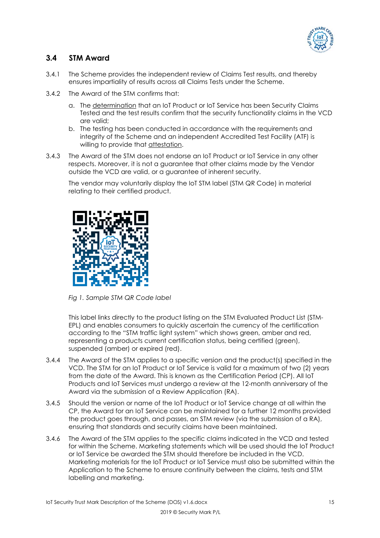

# **3.4 STM Award**

- 3.4.1 The Scheme provides the independent review of Claims Test results, and thereby ensures impartiality of results across all Claims Tests under the Scheme.
- 3.4.2 The Award of the STM confirms that:
	- a. The determination that an IoT Product or IoT Service has been Security Claims Tested and the test results confirm that the security functionality claims in the VCD are valid;
	- b. The testing has been conducted in accordance with the requirements and integrity of the Scheme and an independent Accredited Test Facility (ATF) is willing to provide that attestation.
- 3.4.3 The Award of the STM does not endorse an IoT Product or IoT Service in any other respects. Moreover, it is not a guarantee that other claims made by the Vendor outside the VCD are valid, or a guarantee of inherent security.

The vendor may voluntarily display the IoT STM label (STM QR Code) in material relating to their certified product.



*Fig 1. Sample STM QR Code label* 

This label links directly to the product listing on the STM Evaluated Product List (STM-EPL) and enables consumers to quickly ascertain the currency of the certification according to the "STM traffic light system" which shows green, amber and red, representing a products current certification status, being certified (green), suspended (amber) or expired (red).

- 3.4.4 The Award of the STM applies to a specific version and the product(s) specified in the VCD. The STM for an IoT Product or IoT Service is valid for a maximum of two (2) years from the date of the Award. This is known as the Certification Period (CP). All IoT Products and IoT Services must undergo a review at the 12-month anniversary of the Award via the submission of a Review Application (RA).
- 3.4.5 Should the version or name of the IoT Product or IoT Service change at all within the CP, the Award for an IoT Service can be maintained for a further 12 months provided the product goes through, and passes, an STM review (via the submission of a RA), ensuring that standards and security claims have been maintained.
- 3.4.6 The Award of the STM applies to the specific claims indicated in the VCD and tested for within the Scheme. Marketing statements which will be used should the IoT Product or IoT Service be awarded the STM should therefore be included in the VCD. Marketing materials for the IoT Product or IoT Service must also be submitted within the Application to the Scheme to ensure continuity between the claims, tests and STM labelling and marketing.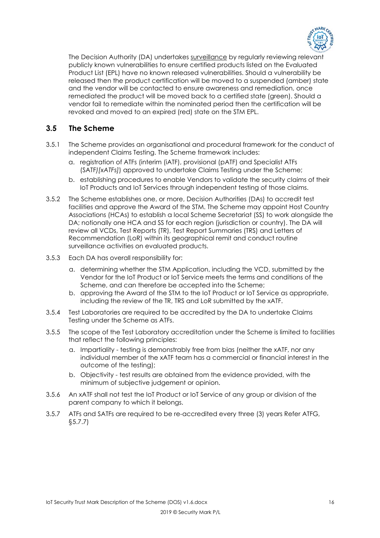

The Decision Authority (DA) undertakes surveillance by regularly reviewing relevant publicly known vulnerabilities to ensure certified products listed on the Evaluated Product List (EPL) have no known released vulnerabilities. Should a vulnerability be released then the product certification will be moved to a suspended (amber) state and the vendor will be contacted to ensure awareness and remediation, once remediated the product will be moved back to a certified state (green). Should a vendor fail to remediate within the nominated period then the certification will be revoked and moved to an expired (red) state on the STM EPL.

# **3.5 The Scheme**

- 3.5.1 The Scheme provides an organisational and procedural framework for the conduct of independent Claims Testing. The Scheme framework includes:
	- a. registration of ATFs (interim (iATF), provisional (pATF) and Specialist ATFs (SATF*)[xATFs]*) approved to undertake Claims Testing under the Scheme;
	- b. establishing procedures to enable Vendors to validate the security claims of their IoT Products and IoT Services through independent testing of those claims.
- 3.5.2 The Scheme establishes one, or more, Decision Authorities (DAs) to accredit test facilities and approve the Award of the STM. The Scheme may appoint Host Country Associations (HCAs) to establish a local Scheme Secretariat (SS) to work alongside the DA; notionally one HCA and SS for each region (jurisdiction or country). The DA will review all VCDs, Test Reports (TR), Test Report Summaries (TRS) and Letters of Recommendation (LoR) within its geographical remit and conduct routine surveillance activities on evaluated products.
- 3.5.3 Each DA has overall responsibility for:
	- a. determining whether the STM Application, including the VCD, submitted by the Vendor for the IoT Product or IoT Service meets the terms and conditions of the Scheme, and can therefore be accepted into the Scheme;
	- b. approving the Award of the STM to the IoT Product or IoT Service as appropriate, including the review of the TR, TRS and LoR submitted by the xATF.
- 3.5.4 Test Laboratories are required to be accredited by the DA to undertake Claims Testing under the Scheme as ATFs.
- 3.5.5 The scope of the Test Laboratory accreditation under the Scheme is limited to facilities that reflect the following principles:
	- a. Impartiality testing is demonstrably free from bias (neither the xATF, nor any individual member of the xATF team has a commercial or financial interest in the outcome of the testing);
	- b. Objectivity test results are obtained from the evidence provided, with the minimum of subjective judgement or opinion.
- 3.5.6 An xATF shall not test the IoT Product or IoT Service of any group or division of the parent company to which it belongs.
- 3.5.7 ATFs and SATFs are required to be re-accredited every three (3) years Refer ATFG, §5.7.7)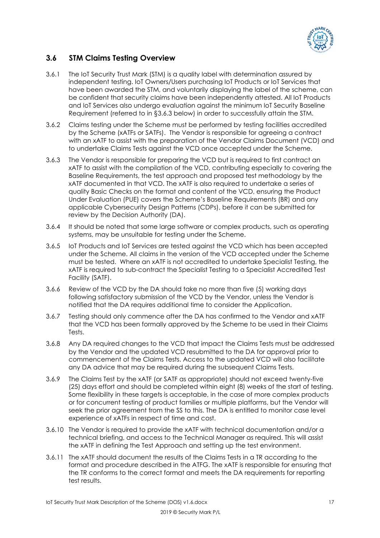

# **3.6 STM Claims Testing Overview**

- 3.6.1 The IoT Security Trust Mark (STM) is a quality label with determination assured by independent testing. IoT Owners/Users purchasing IoT Products or IoT Services that have been awarded the STM, and voluntarily displaying the label of the scheme, can be confident that security claims have been independently attested. All IoT Products and IoT Services also undergo evaluation against the minimum IoT Security Baseline Requirement (referred to in §3.6.3 below) in order to successfully attain the STM.
- 3.6.2 Claims testing under the Scheme must be performed by testing facilities accredited by the Scheme (xATFs or SATFs). The Vendor is responsible for agreeing a contract with an xATF to assist with the preparation of the Vendor Claims Document (VCD) and to undertake Claims Tests against the VCD once accepted under the Scheme.
- 3.6.3 The Vendor is responsible for preparing the VCD but is required to first contract an xATF to assist with the compilation of the VCD, contributing especially to covering the Baseline Requirements, the test approach and proposed test methodology by the xATF documented in that VCD. The xATF is also required to undertake a series of quality Basic Checks on the format and content of the VCD, ensuring the Product Under Evaluation (PUE) covers the Scheme's Baseline Requirements (BR) and any applicable Cybersecurity Design Patterns (CDPs), before it can be submitted for review by the Decision Authority (DA).
- 3.6.4 It should be noted that some large software or complex products, such as operating systems, may be unsuitable for testing under the Scheme.
- 3.6.5 IoT Products and IoT Services are tested against the VCD which has been accepted under the Scheme. All claims in the version of the VCD accepted under the Scheme must be tested. Where an xATF is not accredited to undertake Specialist Testing, the xATF is required to sub-contract the Specialist Testing to a Specialist Accredited Test Facility (SATF).
- 3.6.6 Review of the VCD by the DA should take no more than five (5) working days following satisfactory submission of the VCD by the Vendor, unless the Vendor is notified that the DA requires additional time to consider the Application.
- 3.6.7 Testing should only commence after the DA has confirmed to the Vendor and xATF that the VCD has been formally approved by the Scheme to be used in their Claims Tests.
- 3.6.8 Any DA required changes to the VCD that impact the Claims Tests must be addressed by the Vendor and the updated VCD resubmitted to the DA for approval prior to commencement of the Claims Tests. Access to the updated VCD will also facilitate any DA advice that may be required during the subsequent Claims Tests.
- 3.6.9 The Claims Test by the xATF (or SATF as appropriate) should not exceed twenty-five (25) days effort and should be completed within eight (8) weeks of the start of testing. Some flexibility in these targets is acceptable, in the case of more complex products or for concurrent testing of product families or multiple platforms, but the Vendor will seek the prior agreement from the SS to this. The DA is entitled to monitor case level experience of xATFs in respect of time and cost.
- 3.6.10 The Vendor is required to provide the xATF with technical documentation and/or a technical briefing, and access to the Technical Manager as required. This will assist the xATF in defining the Test Approach and setting up the test environment.
- 3.6.11 The xATF should document the results of the Claims Tests in a TR according to the format and procedure described in the ATFG. The xATF is responsible for ensuring that the TR conforms to the correct format and meets the DA requirements for reporting test results.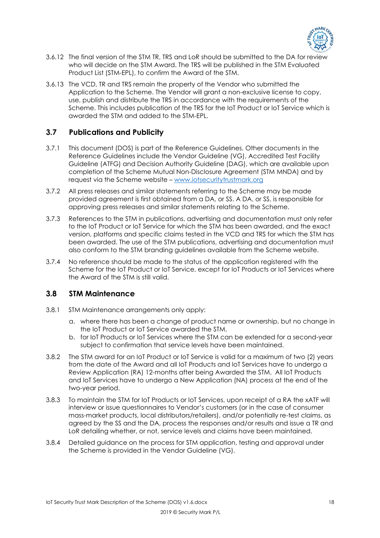

- 3.6.12 The final version of the STM TR, TRS and LoR should be submitted to the DA for review who will decide on the STM Award. The TRS will be published in the STM Evaluated Product List (STM-EPL), to confirm the Award of the STM.
- 3.6.13 The VCD, TR and TRS remain the property of the Vendor who submitted the Application to the Scheme. The Vendor will grant a non-exclusive license to copy, use, publish and distribute the TRS in accordance with the requirements of the Scheme. This includes publication of the TRS for the IoT Product or IoT Service which is awarded the STM and added to the STM-EPL.

# **3.7 Publications and Publicity**

- 3.7.1 This document (DOS) is part of the Reference Guidelines. Other documents in the Reference Guidelines include the Vendor Guideline (VG), Accredited Test Facility Guideline (ATFG) and Decision Authority Guideline (DAG), which are available upon completion of the Scheme Mutual Non-Disclosure Agreement (STM MNDA) and by request via the Scheme website – www.iotsecuritytrustmark.org
- 3.7.2 All press releases and similar statements referring to the Scheme may be made provided agreement is first obtained from a DA, or SS. A DA, or SS, is responsible for approving press releases and similar statements relating to the Scheme.
- 3.7.3 References to the STM in publications, advertising and documentation must only refer to the IoT Product or IoT Service for which the STM has been awarded, and the exact version, platforms and specific claims tested in the VCD and TRS for which the STM has been awarded. The use of the STM publications, advertising and documentation must also conform to the STM branding guidelines available from the Scheme website.
- 3.7.4 No reference should be made to the status of the application registered with the Scheme for the IoT Product or IoT Service, except for IoT Products or IoT Services where the Award of the STM is still valid.

# **3.8 STM Maintenance**

- 3.8.1 STM Maintenance arrangements only apply:
	- a. where there has been a change of product name or ownership, but no change in the IoT Product or IoT Service awarded the STM.
	- b. for IoT Products or IoT Services where the STM can be extended for a second-year subject to confirmation that service levels have been maintained.
- 3.8.2 The STM award for an IoT Product or IoT Service is valid for a maximum of two (2) years from the date of the Award and all IoT Products and IoT Services have to undergo a Review Application (RA) 12-months after being Awarded the STM. All IoT Products and IoT Services have to undergo a New Application (NA) process at the end of the two-year period.
- 3.8.3 To maintain the STM for IoT Products or IoT Services, upon receipt of a RA the xATF will interview or issue questionnaires to Vendor's customers (or in the case of consumer mass-market products, local distributors/retailers), and/or potentially re-test claims, as agreed by the SS and the DA, process the responses and/or results and issue a TR and LoR detailing whether, or not, service levels and claims have been maintained.
- 3.8.4 Detailed guidance on the process for STM application, testing and approval under the Scheme is provided in the Vendor Guideline (VG).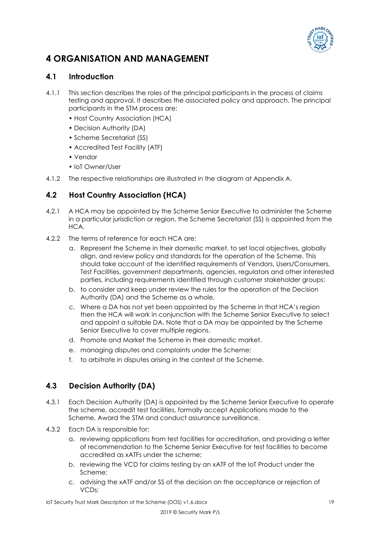

# **4 ORGANISATION AND MANAGEMENT**

# **4.1 Introduction**

- 4.1.1 This section describes the roles of the principal participants in the process of claims testing and approval. It describes the associated policy and approach. The principal participants in the STM process are:
	- Host Country Association (HCA)
	- Decision Authority (DA)
	- Scheme Secretariat (SS)
	- Accredited Test Facility (ATF)
	- Vendor
	- IoT Owner/User
- 4.1.2 The respective relationships are illustrated in the diagram at Appendix A.

# **4.2 Host Country Association (HCA)**

- 4.2.1 A HCA may be appointed by the Scheme Senior Executive to administer the Scheme in a particular jurisdiction or region, the Scheme Secretariat (SS) is appointed from the  $HCA$
- 4.2.2 The terms of reference for each HCA are:
	- a. Represent the Scheme in their domestic market, to set local objectives, globally align, and review policy and standards for the operation of the Scheme. This should take account of the identified requirements of Vendors, Users/Consumers, Test Facilities, government departments, agencies, regulators and other interested parties, including requirements identified through customer stakeholder groups;
	- b. to consider and keep under review the rules for the operation of the Decision Authority (DA) and the Scheme as a whole,
	- c. Where a DA has not yet been appointed by the Scheme in that HCA's region then the HCA will work in conjunction with the Scheme Senior Executive to select and appoint a suitable DA. Note that a DA may be appointed by the Scheme Senior Executive to cover multiple regions.
	- d. Promote and Market the Scheme in their domestic market.
	- e. managing disputes and complaints under the Scheme;
	- f. to arbitrate in disputes arising in the context of the Scheme.

# **4.3 Decision Authority (DA)**

- 4.3.1 Each Decision Authority (DA) is appointed by the Scheme Senior Executive to operate the scheme, accredit test facilities, formally accept Applications made to the Scheme, Award the STM and conduct assurance surveillance.
- 4.3.2 Each DA is responsible for:
	- a. reviewing applications from test facilities for accreditation, and providing a letter of recommendation to the Scheme Senior Executive for test facilities to become accredited as xATFs under the scheme;
	- b. reviewing the VCD for claims testing by an xATF of the IoT Product under the Scheme;
	- c. advising the xATF and/or SS of the decision on the acceptance or rejection of VCDs;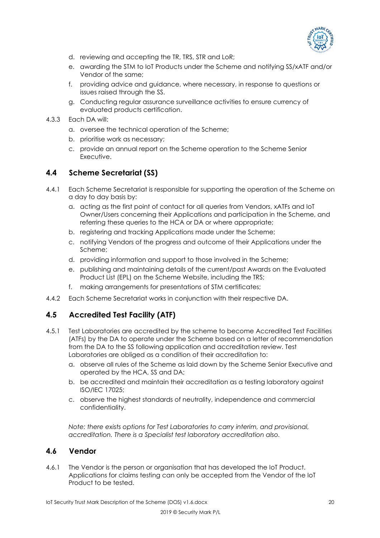

- d. reviewing and accepting the TR, TRS, STR and LoR;
- e. awarding the STM to IoT Products under the Scheme and notifying SS/xATF and/or Vendor of the same;
- f. providing advice and guidance, where necessary, in response to questions or issues raised through the SS.
- g. Conducting regular assurance surveillance activities to ensure currency of evaluated products certification.
- 4.3.3 Each DA will:
	- a. oversee the technical operation of the Scheme;
	- b. prioritise work as necessary;
	- c. provide an annual report on the Scheme operation to the Scheme Senior Executive.

# **4.4 Scheme Secretariat (SS)**

- 4.4.1 Each Scheme Secretariat is responsible for supporting the operation of the Scheme on a day to day basis by:
	- a. acting as the first point of contact for all queries from Vendors, xATFs and IoT Owner/Users concerning their Applications and participation in the Scheme, and referring these queries to the HCA or DA or where appropriate;
	- b. registering and tracking Applications made under the Scheme;
	- c. notifying Vendors of the progress and outcome of their Applications under the Scheme;
	- d. providing information and support to those involved in the Scheme;
	- e. publishing and maintaining details of the current/past Awards on the Evaluated Product List (EPL) on the Scheme Website, including the TRS;
	- f. making arrangements for presentations of STM certificates;
- 4.4.2 Each Scheme Secretariat works in conjunction with their respective DA.

# **4.5 Accredited Test Facility (ATF)**

- 4.5.1 Test Laboratories are accredited by the scheme to become Accredited Test Facilities (ATFs) by the DA to operate under the Scheme based on a letter of recommendation from the DA to the SS following application and accreditation review. Test Laboratories are obliged as a condition of their accreditation to:
	- a. observe all rules of the Scheme as laid down by the Scheme Senior Executive and operated by the HCA, SS and DA;
	- b. be accredited and maintain their accreditation as a testing laboratory against ISO/IEC 17025;
	- c. observe the highest standards of neutrality, independence and commercial confidentiality.

*Note: there exists options for Test Laboratories to carry interim, and provisional, accreditation. There is a Specialist test laboratory accreditation also.* 

## **4.6 Vendor**

4.6.1 The Vendor is the person or organisation that has developed the IoT Product. Applications for claims testing can only be accepted from the Vendor of the IoT Product to be tested.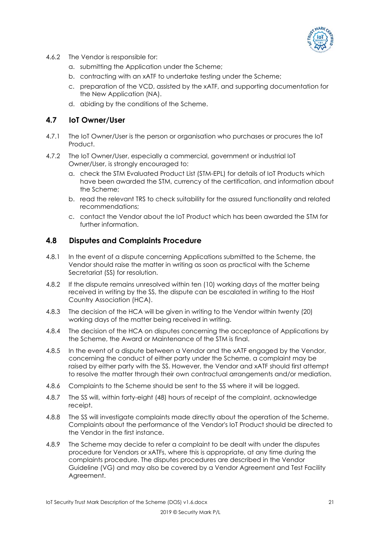

- 4.6.2 The Vendor is responsible for:
	- a. submitting the Application under the Scheme;
	- b. contracting with an xATF to undertake testing under the Scheme;
	- c. preparation of the VCD, assisted by the xATF, and supporting documentation for the New Application (NA).
	- d. abiding by the conditions of the Scheme.

## **4.7 IoT Owner/User**

- 4.7.1 The IoT Owner/User is the person or organisation who purchases or procures the IoT Product.
- 4.7.2 The IoT Owner/User, especially a commercial, government or industrial IoT Owner/User, is strongly encouraged to:
	- a. check the STM Evaluated Product List (STM-EPL) for details of IoT Products which have been awarded the STM, currency of the certification, and information about the Scheme;
	- b. read the relevant TRS to check suitability for the assured functionality and related recommendations;
	- c. contact the Vendor about the IoT Product which has been awarded the STM for further information.

### **4.8 Disputes and Complaints Procedure**

- 4.8.1 In the event of a dispute concerning Applications submitted to the Scheme, the Vendor should raise the matter in writing as soon as practical with the Scheme Secretariat (SS) for resolution.
- 4.8.2 If the dispute remains unresolved within ten (10) working days of the matter being received in writing by the SS, the dispute can be escalated in writing to the Host Country Association (HCA).
- 4.8.3 The decision of the HCA will be given in writing to the Vendor within twenty (20) working days of the matter being received in writing.
- 4.8.4 The decision of the HCA on disputes concerning the acceptance of Applications by the Scheme, the Award or Maintenance of the STM is final.
- 4.8.5 In the event of a dispute between a Vendor and the xATF engaged by the Vendor, concerning the conduct of either party under the Scheme, a complaint may be raised by either party with the SS. However, the Vendor and xATF should first attempt to resolve the matter through their own contractual arrangements and/or mediation.
- 4.8.6 Complaints to the Scheme should be sent to the SS where it will be logged.
- 4.8.7 The SS will, within forty-eight (48) hours of receipt of the complaint, acknowledge receipt.
- 4.8.8 The SS will investigate complaints made directly about the operation of the Scheme. Complaints about the performance of the Vendor's IoT Product should be directed to the Vendor in the first instance.
- 4.8.9 The Scheme may decide to refer a complaint to be dealt with under the disputes procedure for Vendors or xATFs, where this is appropriate, at any time during the complaints procedure. The disputes procedures are described in the Vendor Guideline (VG) and may also be covered by a Vendor Agreement and Test Facility Agreement.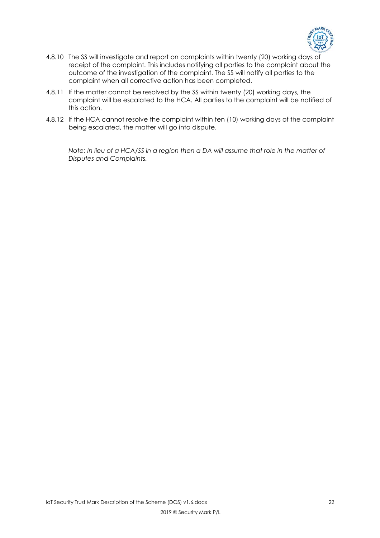

- 4.8.10 The SS will investigate and report on complaints within twenty (20) working days of receipt of the complaint. This includes notifying all parties to the complaint about the outcome of the investigation of the complaint. The SS will notify all parties to the complaint when all corrective action has been completed.
- 4.8.11 If the matter cannot be resolved by the SS within twenty (20) working days, the complaint will be escalated to the HCA. All parties to the complaint will be notified of this action.
- 4.8.12 If the HCA cannot resolve the complaint within ten (10) working days of the complaint being escalated, the matter will go into dispute.

*Note: In lieu of a HCA/SS in a region then a DA will assume that role in the matter of Disputes and Complaints.*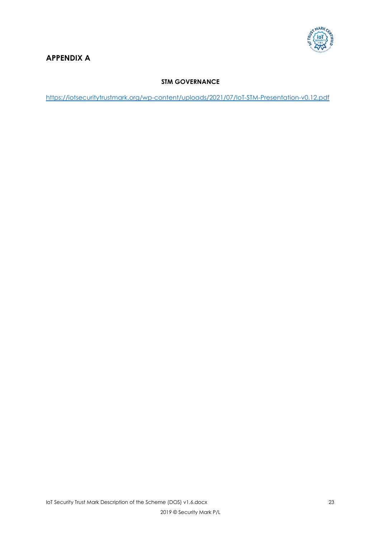

# **APPENDIX A**

# **STM GOVERNANCE**

https://iotsecuritytrustmark.org/wp-content/uploads/2021/07/IoT-STM-Presentation-v0.12.pdf